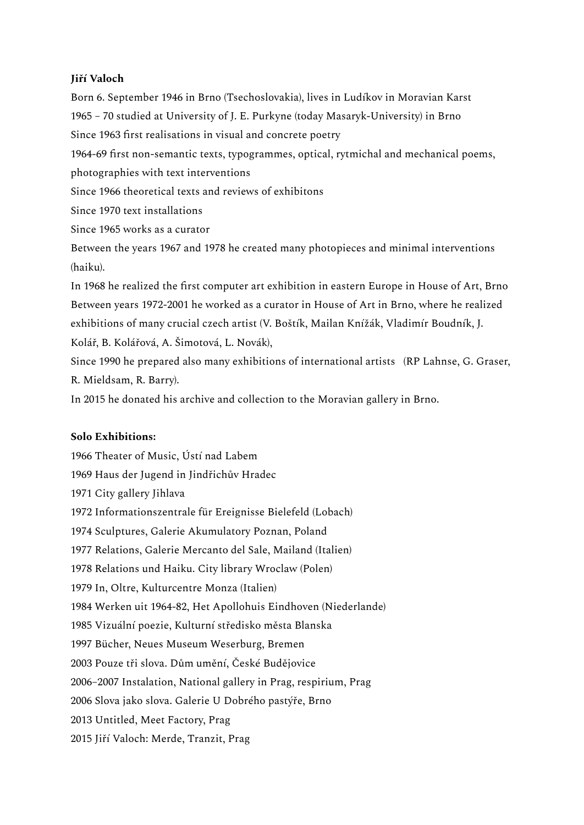# **Jiří Valoch**

Born 6. September 1946 in Brno (Tsechoslovakia), lives in Ludíkov in Moravian Karst 1965 – 70 studied at University of J. E. Purkyne (today Masaryk-University) in Brno Since 1963 first realisations in visual and concrete poetry 1964-69 first non-semantic texts, typogrammes, optical, rytmichal and mechanical poems, photographies with text interventions Since 1966 theoretical texts and reviews of exhibitons Since 1970 text installations Since 1965 works as a curator Between the years 1967 and 1978 he created many photopieces and minimal interventions (haiku). In 1968 he realized the first computer art exhibition in eastern Europe in House of Art, Brno Between years 1972-2001 he worked as a curator in House of Art in Brno, where he realized exhibitions of many crucial czech artist (V. Boštík, Mailan Knížák, Vladimír Boudník, J. Kolář, B. Kolářová, A. Šimotová, L. Novák), Since 1990 he prepared also many exhibitions of international artists (RP Lahnse, G. Graser, R. Mieldsam, R. Barry).

In 2015 he donated his archive and collection to the Moravian gallery in Brno.

## **Solo Exhibitions:**

 Theater of Music, Ústí nad Labem Haus der Jugend in Jindřichův Hradec City gallery Jihlava Informationszentrale für Ereignisse Bielefeld (Lobach) Sculptures, Galerie Akumulatory Poznan, Poland Relations, Galerie Mercanto del Sale, Mailand (Italien) Relations und Haiku. City library Wroclaw (Polen) In, Oltre, Kulturcentre Monza (Italien) Werken uit 1964-82, Het Apollohuis Eindhoven (Niederlande) Vizuální poezie, Kulturní středisko města Blanska Bücher, Neues Museum Weserburg, Bremen Pouze tři slova. Dům umění, České Budějovice 2006–2007 Instalation, National gallery in Prag, respirium, Prag Slova jako slova. Galerie U Dobrého pastýře, Brno Untitled, Meet Factory, Prag Jiří Valoch: Merde, Tranzit, Prag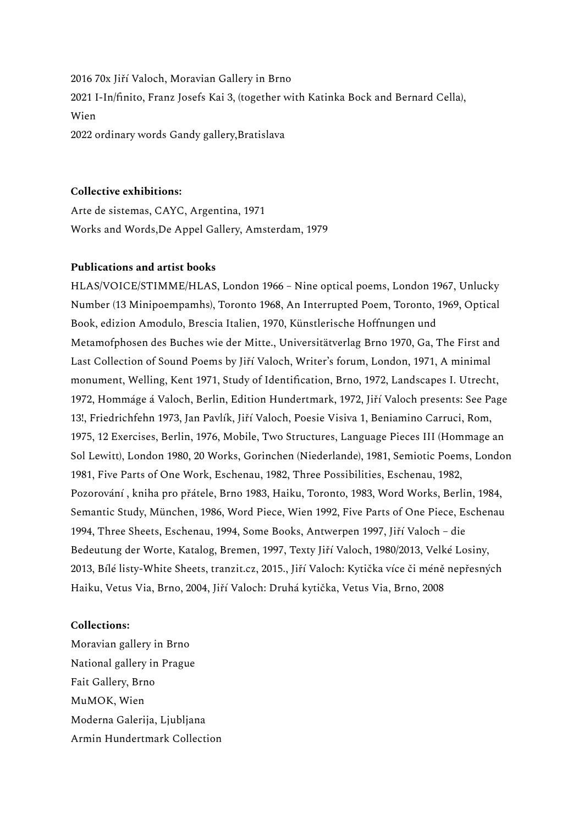70x Jiří Valoch, Moravian Gallery in Brno I-In/finito, Franz Josefs Kai 3, (together with Katinka Bock and Bernard Cella), Wien ordinary words Gandy gallery,Bratislava

### **Collective exhibitions:**

Arte de sistemas, CAYC, Argentina, 1971 Works and Words,De Appel Gallery, Amsterdam, 1979

### **Publications and artist books**

HLAS/VOICE/STIMME/HLAS, London 1966 – Nine optical poems, London 1967, Unlucky Number (13 Minipoempamhs), Toronto 1968, An Interrupted Poem, Toronto, 1969, Optical Book, edizion Amodulo, Brescia Italien, 1970, Künstlerische Hoffnungen und Metamofphosen des Buches wie der Mitte., Universitätverlag Brno 1970, Ga, The First and Last Collection of Sound Poems by Jiří Valoch, Writer's forum, London, 1971, A minimal monument, Welling, Kent 1971, Study of Identification, Brno, 1972, Landscapes I. Utrecht, 1972, Hommáge á Valoch, Berlin, Edition Hundertmark, 1972, Jiří Valoch presents: See Page 13!, Friedrichfehn 1973, Jan Pavlík, Jiří Valoch, Poesie Visiva 1, Beniamino Carruci, Rom, 1975, 12 Exercises, Berlin, 1976, Mobile, Two Structures, Language Pieces III (Hommage an Sol Lewitt), London 1980, 20 Works, Gorinchen (Niederlande), 1981, Semiotic Poems, London 1981, Five Parts of One Work, Eschenau, 1982, Three Possibilities, Eschenau, 1982, Pozorování , kniha pro přátele, Brno 1983, Haiku, Toronto, 1983, Word Works, Berlin, 1984, Semantic Study, München, 1986, Word Piece, Wien 1992, Five Parts of One Piece, Eschenau 1994, Three Sheets, Eschenau, 1994, Some Books, Antwerpen 1997, Jiří Valoch – die Bedeutung der Worte, Katalog, Bremen, 1997, Texty Jiří Valoch, 1980/2013, Velké Losiny, 2013, Bílé listy-White Sheets, tranzit.cz, 2015., Jiří Valoch: Kytička více či méně nepřesných Haiku, Vetus Via, Brno, 2004, Jiří Valoch: Druhá kytička, Vetus Via, Brno, 2008

#### **Collections:**

Moravian gallery in Brno National gallery in Prague Fait Gallery, Brno MuMOK, Wien Moderna Galerija, Ljubljana Armin Hundertmark Collection